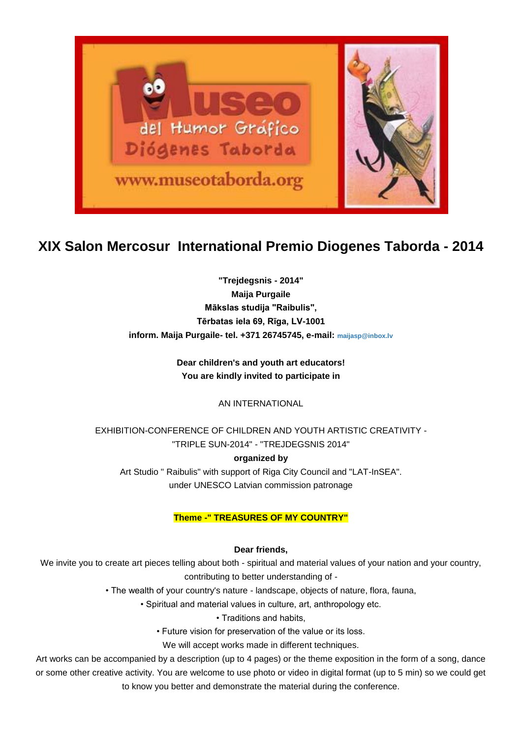

# **XIX Salon Mercosur International Premio Diogenes Taborda - 2014**

**"Trejdegsnis - 2014" Maija Purgaile Mākslas studija "Raibulis", Tērbatas iela 69, Rīga, LV-1001 inform. Maija Purgaile- tel. +371 26745745, e-mail: [maijasp@inbox.lv](mailto:maijasp@inbox.lv)**

> **Dear children's and youth art educators! You are kindly invited to participate in**

> > AN INTERNATIONAL

EXHIBITION-CONFERENCE OF CHILDREN AND YOUTH ARTISTIC CREATIVITY - "TRIPLE SUN-2014" - "TREJDEGSNIS 2014"

### **organized by**

Art Studio " Raibulis" with support of Riga City Council and "LAT-InSEA". under UNESCO Latvian commission patronage

### **Theme -" TREASURES OF MY COUNTRY"**

### **Dear friends,**

We invite you to create art pieces telling about both - spiritual and material values of your nation and your country, contributing to better understanding of -

• The wealth of your country's nature - landscape, objects of nature, flora, fauna,

• Spiritual and material values in culture, art, anthropology etc.

• Traditions and habits,

• Future vision for preservation of the value or its loss.

We will accept works made in different techniques.

Art works can be accompanied by a description (up to 4 pages) or the theme exposition in the form of a song, dance or some other creative activity. You are welcome to use photo or video in digital format (up to 5 min) so we could get to know you better and demonstrate the material during the conference.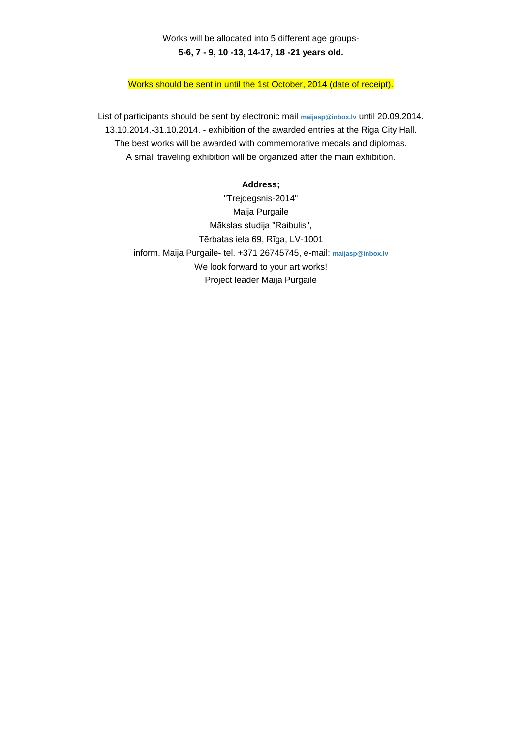## Works will be allocated into 5 different age groups-**5-6, 7 - 9, 10 -13, 14-17, 18 -21 years old.**

Works should be sent in until the 1st October, 2014 (date of receipt).

List of participants should be sent by electronic mail **[maijasp@inbox.lv](mailto:maijasp@inbox.lv)** until 20.09.2014. 13.10.2014.-31.10.2014. - exhibition of the awarded entries at the Riga City Hall. The best works will be awarded with commemorative medals and diplomas. A small traveling exhibition will be organized after the main exhibition.

#### **Address;**

"Trejdegsnis-2014" Maija Purgaile Mākslas studija "Raibulis", Tērbatas iela 69, Rīga, LV-1001 inform. Maija Purgaile- tel. +371 26745745, e-mail: **[maijasp@inbox.lv](mailto:maijasp@inbox.lv)** We look forward to your art works! Project leader Maija Purgaile